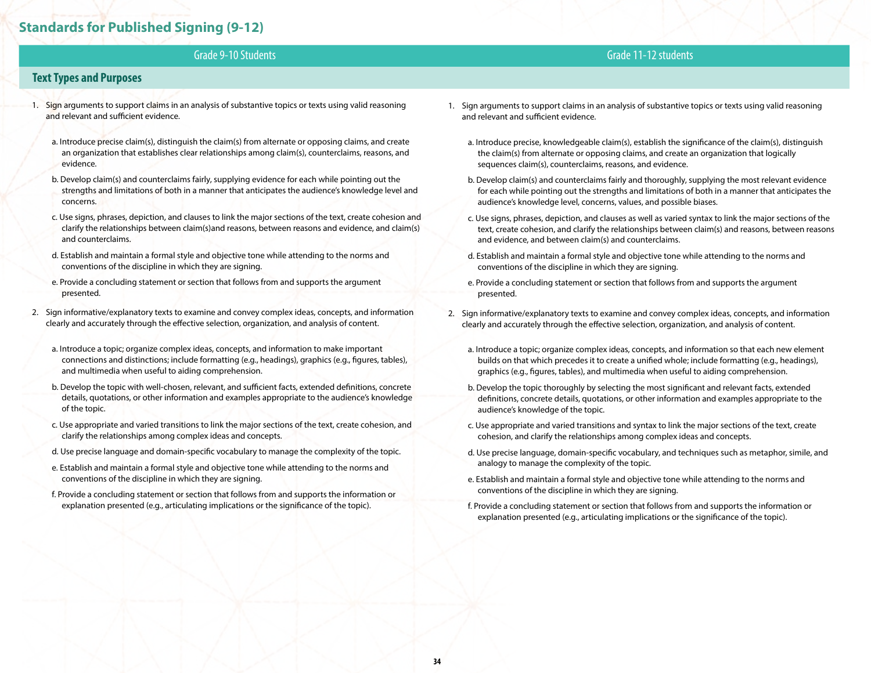# **Standards for Published Signing (9-12)**

# **Text Types and Purposes**

- 1. Sign arguments to support claims in an analysis of substantive topics or texts using valid reasoning and relevant and sufficient evidence.
	- a. Introduce precise claim(s), distinguish the claim(s) from alternate or opposing claims, and create an organization that establishes clear relationships among claim(s), counterclaims, reasons, and evidence.
	- b. Develop claim(s) and counterclaims fairly, supplying evidence for each while pointing out the strengths and limitations of both in a manner that anticipates the audience's knowledge level and concerns.
	- c. Use signs, phrases, depiction, and clauses to link the major sections of the text, create cohesion and clarify the relationships between claim(s)and reasons, between reasons and evidence, and claim(s) and counterclaims.
	- d. Establish and maintain a formal style and objective tone while attending to the norms and conventions of the discipline in which they are signing.
	- e. Provide a concluding statement or section that follows from and supports the argument presented.
- 2. Sign informative/explanatory texts to examine and convey complex ideas, concepts, and information clearly and accurately through the effective selection, organization, and analysis of content.
	- a. Introduce a topic; organize complex ideas, concepts, and information to make important connections and distinctions; include formatting (e.g., headings), graphics (e.g., figures, tables), and multimedia when useful to aiding comprehension.
	- b. Develop the topic with well-chosen, relevant, and sufficient facts, extended definitions, concrete details, quotations, or other information and examples appropriate to the audience's knowledge of the topic.
	- c. Use appropriate and varied transitions to link the major sections of the text, create cohesion, and clarify the relationships among complex ideas and concepts.
	- d. Use precise language and domain-specific vocabulary to manage the complexity of the topic.
	- e. Establish and maintain a formal style and objective tone while attending to the norms and conventions of the discipline in which they are signing.
	- f. Provide a concluding statement or section that follows from and supports the information or explanation presented (e.g., articulating implications or the significance of the topic).
- 1. Sign arguments to support claims in an analysis of substantive topics or texts using valid reasoning and relevant and sufficient evidence.
	- a. Introduce precise, knowledgeable claim(s), establish the significance of the claim(s), distinguish the claim(s) from alternate or opposing claims, and create an organization that logically sequences claim(s), counterclaims, reasons, and evidence.
	- b. Develop claim(s) and counterclaims fairly and thoroughly, supplying the most relevant evidence for each while pointing out the strengths and limitations of both in a manner that anticipates the audience's knowledge level, concerns, values, and possible biases.
	- c. Use signs, phrases, depiction, and clauses as well as varied syntax to link the major sections of the text, create cohesion, and clarify the relationships between claim(s) and reasons, between reasons and evidence, and between claim(s) and counterclaims.
	- d. Establish and maintain a formal style and objective tone while attending to the norms and conventions of the discipline in which they are signing.
	- e. Provide a concluding statement or section that follows from and supports the argument presented.
- 2. Sign informative/explanatory texts to examine and convey complex ideas, concepts, and information clearly and accurately through the effective selection, organization, and analysis of content.
	- a. Introduce a topic; organize complex ideas, concepts, and information so that each new element builds on that which precedes it to create a unified whole; include formatting (e.g., headings), graphics (e.g., figures, tables), and multimedia when useful to aiding comprehension.
	- b. Develop the topic thoroughly by selecting the most significant and relevant facts, extended definitions, concrete details, quotations, or other information and examples appropriate to the audience's knowledge of the topic.
	- c. Use appropriate and varied transitions and syntax to link the major sections of the text, create cohesion, and clarify the relationships among complex ideas and concepts.
	- d. Use precise language, domain-specific vocabulary, and techniques such as metaphor, simile, and analogy to manage the complexity of the topic.
	- e. Establish and maintain a formal style and objective tone while attending to the norms and conventions of the discipline in which they are signing.
	- f. Provide a concluding statement or section that follows from and supports the information or explanation presented (e.g., articulating implications or the significance of the topic).

### Grade 9-10 Students Grade 11-12 students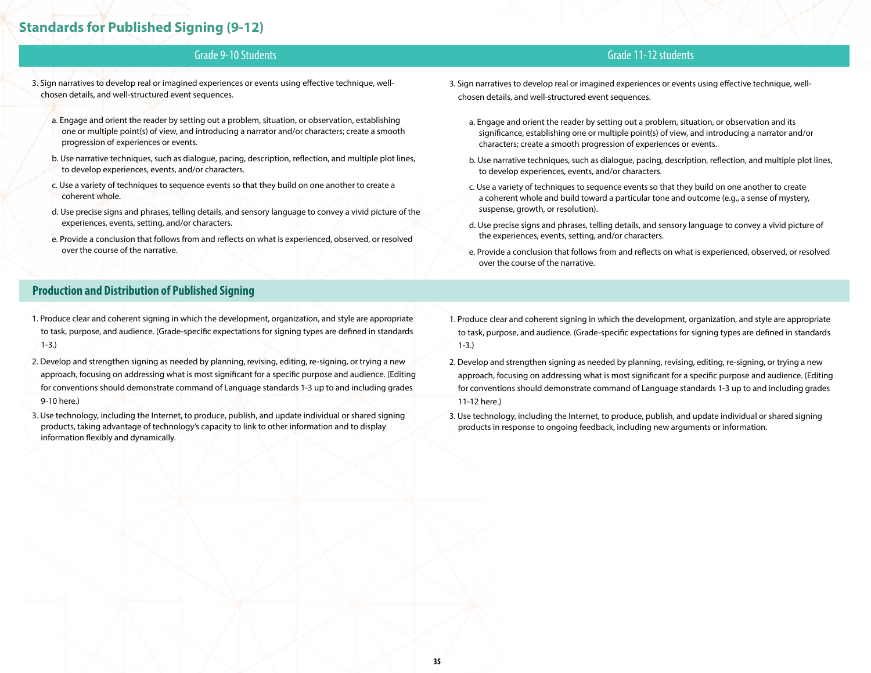# **Standards for Published Signing (9-12)**

- 3. Sign narratives to develop real or imagined experiences or events using effective technique, wellchosen details, and well-structured event sequences.
	- a. Engage and orient the reader by setting out a problem, situation, or observation, establishing one or multiple point(s) of view, and introducing a narrator and/or characters; create a smooth progression of experiences or events.
	- b. Use narrative techniques, such as dialogue, pacing, description, reflection, and multiple plot lines, to develop experiences, events, and/or characters.
	- c. Use a variety of techniques to sequence events so that they build on one another to create a coherent whole.
	- d. Use precise signs and phrases, telling details, and sensory language to convey a vivid picture of the experiences, events, setting, and/or characters.
	- e. Provide a conclusion that follows from and reflects on what is experienced, observed, or resolved over the course of the narrative.

### Grade 9-10 Students Grade 11-12 students

- 3. Sign narratives to develop real or imagined experiences or events using effective technique, wellchosen details, and well-structured event sequences.
	- a. Engage and orient the reader by setting out a problem, situation, or observation and its significance, establishing one or multiple point(s) of view, and introducing a narrator and/or characters; create a smooth progression of experiences or events.
	- b. Use narrative techniques, such as dialogue, pacing, description, reflection, and multiple plot lines, to develop experiences, events, and/or characters.
	- c. Use a variety of techniques to sequence events so that they build on one another to create a coherent whole and build toward a particular tone and outcome (e.g., a sense of mystery, suspense, growth, or resolution).
	- d. Use precise signs and phrases, telling details, and sensory language to convey a vivid picture of the experiences, events, setting, and/or characters.
	- e. Provide a conclusion that follows from and reflects on what is experienced, observed, or resolved over the course of the narrative.

# **Production and Distribution of Published Signing**

- 1. Produce clear and coherent signing in which the development, organization, and style are appropriate to task, purpose, and audience. (Grade-specific expectations for signing types are defined in standards 1-3.)
- 2. Develop and strengthen signing as needed by planning, revising, editing, re-signing, or trying a new approach, focusing on addressing what is most significant for a specific purpose and audience. (Editing for conventions should demonstrate command of Language standards 1-3 up to and including grades 9-10 here.)
- 3. Use technology, including the Internet, to produce, publish, and update individual or shared signing products, taking advantage of technology's capacity to link to other information and to display information flexibly and dynamically.

1. Produce clear and coherent signing in which the development, organization, and style are appropriate to task, purpose, and audience. (Grade-specific expectations for signing types are defined in standards 1-3.)

- 2. Develop and strengthen signing as needed by planning, revising, editing, re-signing, or trying a new approach, focusing on addressing what is most significant for a specific purpose and audience. (Editing for conventions should demonstrate command of Language standards 1-3 up to and including grades 11-12 here.)
- 3. Use technology, including the Internet, to produce, publish, and update individual or shared signing products in response to ongoing feedback, including new arguments or information.